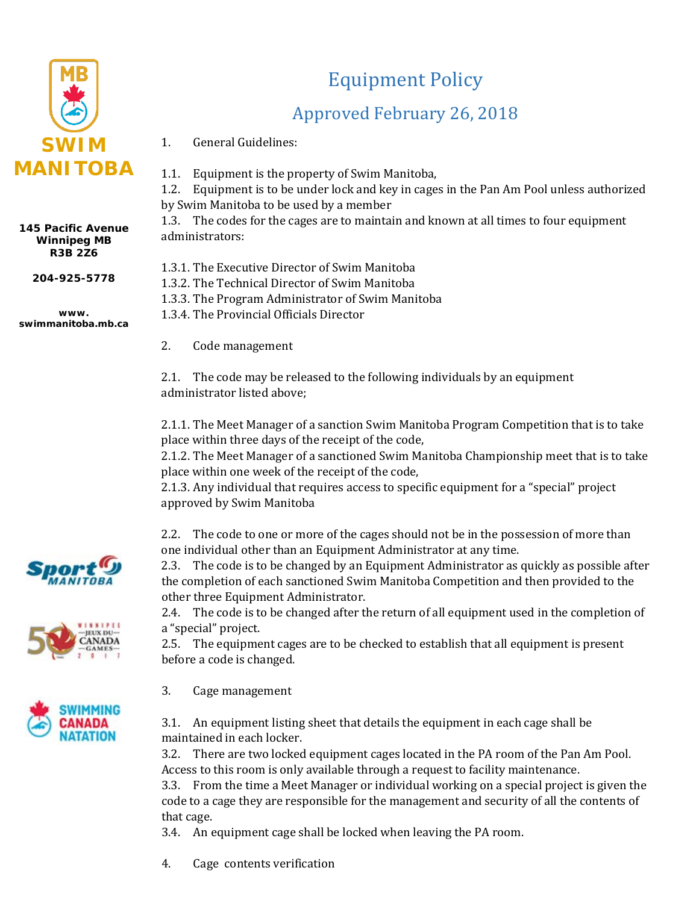

## **145 Pacific Avenue Winnipeg MB R3B 2Z6**

**204-925-5778**

**www. swimmanitoba.mb.ca**

## Equipment Policy

## Approved February 26, 2018

- 1. General Guidelines:
- 1.1. Equipment is the property of Swim Manitoba,
- 1.2. Equipment is to be under lock and key in cages in the Pan Am Pool unless authorized by Swim Manitoba to be used by a member

1.3. The codes for the cages are to maintain and known at all times to four equipment administrators:

- 1.3.1. The Executive Director of Swim Manitoba
- 1.3.2. The Technical Director of Swim Manitoba
- 1.3.3. The Program Administrator of Swim Manitoba

1.3.4. The Provincial Officials Director

2. Code management

2.1. The code may be released to the following individuals by an equipment administrator listed above;

2.1.1. The Meet Manager of a sanction Swim Manitoba Program Competition that is to take place within three days of the receipt of the code,

2.1.2. The Meet Manager of a sanctioned Swim Manitoba Championship meet that is to take place within one week of the receipt of the code,

2.1.3. Any individual that requires access to specific equipment for a "special" project approved by Swim Manitoba

2.2. The code to one or more of the cages should not be in the possession of more than one individual other than an Equipment Administrator at any time.

2.3. The code is to be changed by an Equipment Administrator as quickly as possible after the completion of each sanctioned Swim Manitoba Competition and then provided to the other three Equipment Administrator.

2.4. The code is to be changed after the return of all equipment used in the completion of a "special" project.

2.5. The equipment cages are to be checked to establish that all equipment is present before a code is changed.

3. Cage management



3.2. There are two locked equipment cages located in the PA room of the Pan Am Pool. Access to this room is only available through a request to facility maintenance.

3.3. From the time a Meet Manager or individual working on a special project is given the code to a cage they are responsible for the management and security of all the contents of that cage.

3.4. An equipment cage shall be locked when leaving the PA room.

4. Cage contents verification